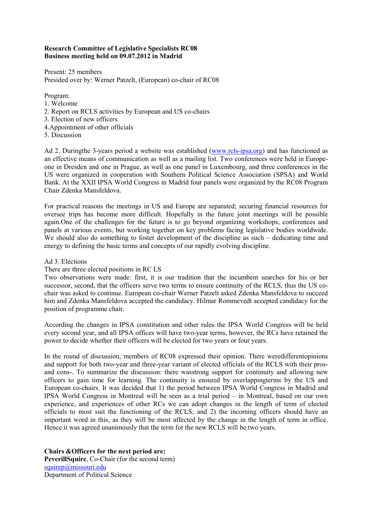# **Research Committee of Legislative Specialists RC08 Business meeting held on 09.07.2012 in Madrid**

Present: 25 members Presided over by: Werner Patzelt, (European) co-chair of RC08

Program:

- 1. Welcome
- 2. Report on RCLS activities by European and US co-chairs
- 3. Election of new officers
- 4.Appointment of other officials
- 5. Discussion

Ad 2. Duringthe 3-years period a website was established (www.rcls-ipsa.org) and has functioned as an effective means of communication as well as a mailing list. Two conferences were held in Europeone in Dresden and one in Prague, as well as one panel in Luxembourg, and three conferences in the US were organized in cooperation with Southern Political Science Association (SPSA) and World Bank. At the XXII IPSA World Congress in Madrid four panels were organized by the RC08 Program Chair Zdenka Mansfeldova.

For practical reasons the meetings in US and Europe are separated; securing financial resources for oversee trips has become more difficult. Hopefully in the future joint meetings will be possible again.One of the challenges for the future is to go beyond organizing workshops, conferences and panels at various events, but working together on key problems facing legislative bodies worldwide. We should also do something to foster development of the discipline as such – dedicating time and energy to defining the basic terms and concepts of our rapidly evolving discipline.

# Ad 3. Elections

## There are three elected positions in RC LS

Two observations were made: first, it is our tradition that the incumbent searches for his or her successor, second, that the officers serve two terms to ensure continuity of the RCLS, thus the US cochair was asked to continue. European co-chair Werner Patzelt asked Zdenka Mansfeldova to succeed him and Zdenka Mansfeldova accepted the candidacy. Hilmar Rommevedt accepted candidacy for the position of programme chair.

According the changes in IPSA constitution and other rules the IPSA World Congress will be held every second year, and all IPSA offices will have two-year terms, however, the RCs have retained the power to decide whether their officers will be elected for two years or four years.

In the round of discussion, members of RC08 expressed their opinion. There weredifferentopinions and support for both two-year and three-year variant of elected officials of the RCLS with their prosand cons-. To summarize the discussion: there wasstrong support for continuity and allowing new officers to gain time for learning. The continuity is ensured by overlappingterms by the US and European co-chairs. It was decided that 1) the period between IPSA World Congress in Madrid and IPSA World Congress in Montreal will be seen as a trial period – in Montreal, based on our own experience, and experiences of other RCs we can adopt changes in the length of term of elected officials to most suit the functioning of the RCLS; and 2) the incoming officers should have an important word in this, as they will be most affected by the change in the length of term in office. Hence it was agreed unanimously that the term for the new RCLS will be two years.

**Chairs &Officers for the next period are: PeverillSquire**, Co-Chair (for the second term) squirep@missouri.edu Department of Political Science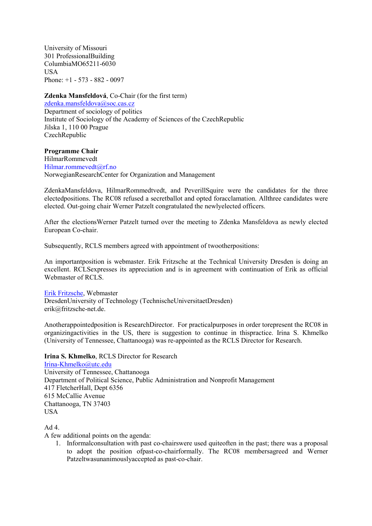University of Missouri 301 ProfessionalBuilding ColumbiaMO65211-6030 USA Phone:  $+1 - 573 - 882 - 0097$ 

### **Zdenka Mansfeldová**, Co-Chair (for the first term)

zdenka.mansfeldova@soc.cas.cz Department of sociology of politics Institute of Sociology of the Academy of Sciences of the CzechRepublic Jilska 1, 110 00 Prague **CzechRepublic** 

**Programme Chair**  HilmarRommevedt Hilmar.rommevedt@rf.no NorwegianResearchCenter for Organization and Management

ZdenkaMansfeldova, HilmarRommedtvedt, and PeverillSquire were the candidates for the three electedpositions. The RC08 refused a secretballot and opted foracclamation. Allthree candidates were elected. Out-going chair Werner Patzelt congratulated the newlyelected officers.

After the electionsWerner Patzelt turned over the meeting to Zdenka Mansfeldova as newly elected European Co-chair.

Subsequently, RCLS members agreed with appointment of twootherpositions:

An importantposition is webmaster. Erik Fritzsche at the Technical University Dresden is doing an excellent. RCLSexpresses its appreciation and is in agreement with continuation of Erik as official Webmaster of RCLS.

#### Erik Fritzsche, Webmaster

DresdenUniversity of Technology (TechnischeUniversitaetDresden) erik@fritzsche-net.de.

Anotherappointedposition is ResearchDirector. For practicalpurposes in order torepresent the RC08 in organizingactivities in the US, there is suggestion to continue in thispractice. Irina S. Khmelko (University of Tennessee, Chattanooga) was re-appointed as the RCLS Director for Research.

## **Irina S. Khmelko**, RCLS Director for Research

Irina-Khmelko@utc.edu University of Tennessee, Chattanooga Department of Political Science, Public Administration and Nonprofit Management 417 FletcherHall, Dept 6356 615 McCallie Avenue Chattanooga, TN 37403 USA

## Ad 4.

A few additional points on the agenda:

1. Informalconsultation with past co-chairswere used quiteoften in the past; there was a proposal to adopt the position ofpast-co-chairformally. The RC08 membersagreed and Werner Patzeltwasunanimouslyaccepted as past-co-chair.